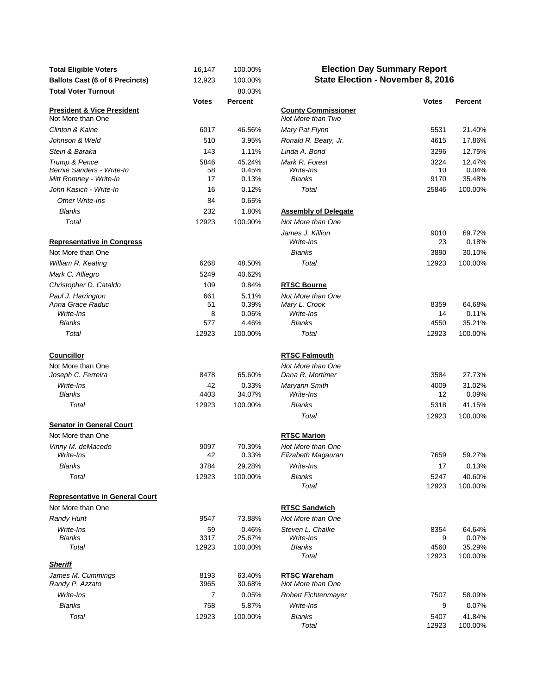| <b>Total Eligible Voters</b><br><b>Ballots Cast (6 of 6 Precincts)</b> | 16,147<br>12,923 | 100.00%<br>100.00%       | <b>Election Day Summary Report</b><br>State Election - November 8, 2016 |                    |                           |
|------------------------------------------------------------------------|------------------|--------------------------|-------------------------------------------------------------------------|--------------------|---------------------------|
| <b>Total Voter Turnout</b>                                             |                  | 80.03%                   |                                                                         |                    |                           |
|                                                                        | <b>Votes</b>     | Percent                  |                                                                         | <b>Votes</b>       | Percent                   |
| <b>President &amp; Vice President</b><br>Not More than One             |                  |                          | <b>County Commissioner</b><br>Not More than Two                         |                    |                           |
| Clinton & Kaine                                                        | 6017             | 46.56%                   | Mary Pat Flynn                                                          | 5531               | 21.40%                    |
| Johnson & Weld                                                         | 510              | 3.95%                    | Ronald R. Beaty, Jr.                                                    | 4615               | 17.86%                    |
| Stein & Baraka                                                         | 143              | 1.11%                    | Linda A. Bond                                                           | 3296               | 12.75%                    |
| Trump & Pence<br>Bernie Sanders - Write-In<br>Mitt Romney - Write-In   | 5846<br>58<br>17 | 45.24%<br>0.45%<br>0.13% | Mark R. Forest<br>Write-Ins<br><b>Blanks</b>                            | 3224<br>10<br>9170 | 12.47%<br>0.04%<br>35.48% |
| John Kasich - Write-In                                                 | 16               | 0.12%                    | Total                                                                   | 25846              | 100.00%                   |
| Other Write-Ins                                                        | 84               | 0.65%                    |                                                                         |                    |                           |
| <b>Blanks</b>                                                          | 232              | 1.80%                    | <b>Assembly of Delegate</b>                                             |                    |                           |
| Total                                                                  | 12923            | 100.00%                  | Not More than One                                                       |                    |                           |
| <b>Representative in Congress</b>                                      |                  |                          | James J. Killion<br>Write-Ins                                           | 9010<br>23         | 69.72%<br>0.18%           |
| Not More than One                                                      |                  |                          | <b>Blanks</b>                                                           | 3890               | 30.10%                    |
| William R. Keating                                                     | 6268             | 48.50%                   | Total                                                                   | 12923              | 100.00%                   |
| Mark C. Alliegro                                                       | 5249             | 40.62%                   |                                                                         |                    |                           |
| Christopher D. Cataldo                                                 | 109              | 0.84%                    | <b>RTSC Bourne</b>                                                      |                    |                           |
| Paul J. Harrington                                                     | 661              | 5.11%                    | Not More than One                                                       |                    |                           |
| Anna Grace Raduc                                                       | 51               | 0.39%                    | Mary L. Crook                                                           | 8359               | 64.68%                    |
| Write-Ins                                                              | 8                | 0.06%                    | Write-Ins                                                               | 14                 | 0.11%                     |
| <b>Blanks</b>                                                          | 577              | 4.46%                    | <b>Blanks</b>                                                           | 4550               | 35.21%                    |
| Total                                                                  | 12923            | 100.00%                  | Total                                                                   | 12923              | 100.00%                   |
| <b>Councillor</b>                                                      |                  |                          | <b>RTSC Falmouth</b>                                                    |                    |                           |
| Not More than One                                                      |                  |                          | Not More than One                                                       |                    |                           |
| Joseph C. Ferreira                                                     | 8478             | 65.60%                   | Dana R. Mortimer                                                        | 3584               | 27.73%                    |
| Write-Ins                                                              | 42               | 0.33%                    | Maryann Smith                                                           | 4009               | 31.02%                    |
| <b>Blanks</b>                                                          | 4403             | 34.07%                   | Write-Ins                                                               | 12                 | 0.09%                     |
| Total                                                                  | 12923            | 100.00%                  | <b>Blanks</b>                                                           | 5318               | 41.15%                    |
|                                                                        |                  |                          | Total                                                                   | 12923              | 100.00%                   |
| <b>Senator in General Court</b>                                        |                  |                          |                                                                         |                    |                           |
| Not More than One                                                      |                  |                          | <b>RTSC Marion</b>                                                      |                    |                           |
| Vinny M. deMacedo                                                      | 9097             | 70.39%                   | Not More than One                                                       |                    |                           |
| Write-Ins                                                              | 42               | 0.33%                    | Elizabeth Magauran                                                      | 7659               | 59.27%                    |
| Blanks                                                                 | 3784             | 29.28%                   | Write-Ins                                                               | 17                 | 0.13%                     |
| Total                                                                  | 12923            | 100.00%                  | Blanks<br>Total                                                         | 5247<br>12923      | 40.60%<br>100.00%         |
| <b>Representative in General Court</b>                                 |                  |                          |                                                                         |                    |                           |
| Not More than One                                                      |                  |                          | <b>RTSC Sandwich</b>                                                    |                    |                           |
| <b>Randy Hunt</b>                                                      | 9547             | 73.88%                   | Not More than One                                                       |                    |                           |
| Write-Ins                                                              | 59               | 0.46%                    | Steven L. Chalke                                                        | 8354               | 64.64%                    |
| <b>Blanks</b>                                                          | 3317             | 25.67%                   | Write-Ins                                                               | 9                  | 0.07%                     |
| Total                                                                  | 12923            | 100.00%                  | <b>Blanks</b>                                                           | 4560               | 35.29%                    |
|                                                                        |                  |                          | Total                                                                   | 12923              | 100.00%                   |
| <b>Sheriff</b><br>James M. Cummings                                    | 8193             | 63.40%                   | <b>RTSC Wareham</b>                                                     |                    |                           |
| Randy P. Azzato                                                        | 3965             | 30.68%                   | Not More than One                                                       |                    |                           |
| Write-Ins                                                              | 7                | 0.05%                    | Robert Fichtenmayer                                                     | 7507               | 58.09%                    |
| <b>Blanks</b>                                                          | 758              | 5.87%                    | Write-Ins                                                               | 9                  | 0.07%                     |
| Total                                                                  | 12923            | 100.00%                  | <b>Blanks</b>                                                           | 5407               | 41.84%                    |
|                                                                        |                  |                          |                                                                         |                    |                           |

## **Election Day Summary Report State Election - November 8, 2016**

| <b>Votes</b> | Percent         |                                       | <b>Votes</b> | Percent         |
|--------------|-----------------|---------------------------------------|--------------|-----------------|
|              |                 | <b>County Commissioner</b>            |              |                 |
|              |                 | Not More than Two                     |              |                 |
| 6017         | 46.56%          | Mary Pat Flynn                        | 5531         | 21.40%          |
| 510          | 3.95%           | Ronald R. Beaty, Jr.                  | 4615         | 17.86%          |
| 143          | 1.11%           | Linda A. Bond                         | 3296         | 12.75%          |
| 5846         | 45.24%          | Mark R. Forest                        | 3224         | 12.47%          |
| 58           | 0.45%           | Write-Ins                             | 10           | 0.04%           |
| 17           | 0.13%           | <b>Blanks</b>                         | 9170         | 35.48%          |
| 16           | 0.12%           | Total                                 | 25846        | 100.00%         |
| 84           | 0.65%           |                                       |              |                 |
| 232          | 1.80%           | <b>Assembly of Delegate</b>           |              |                 |
| 12923        | 100.00%         | Not More than One                     |              |                 |
|              |                 | James J. Killion<br>Write-Ins         | 9010<br>23   | 69.72%<br>0.18% |
|              |                 | <b>Blanks</b>                         | 3890         | 30.10%          |
| 6268         | 48.50%          | Total                                 | 12923        | 100.00%         |
| 5249         | 40.62%          |                                       |              |                 |
| 109          | 0.84%           | <b>RTSC Bourne</b>                    |              |                 |
|              |                 |                                       |              |                 |
| 661<br>51    | 5.11%<br>0.39%  | Not More than One<br>Mary L. Crook    | 8359         | 64.68%          |
| 8            | 0.06%           | Write-Ins                             | 14           | 0.11%           |
| 577          | 4.46%           | <b>Blanks</b>                         | 4550         | 35.21%          |
| 12923        | 100.00%         | Total                                 | 12923        | 100.00%         |
|              |                 |                                       |              |                 |
|              |                 |                                       |              |                 |
|              |                 | <b>RTSC Falmouth</b>                  |              |                 |
| 8478         | 65.60%          | Not More than One<br>Dana R. Mortimer | 3584         | 27.73%          |
|              |                 |                                       |              |                 |
| 42<br>4403   | 0.33%<br>34.07% | Maryann Smith<br>Write-Ins            | 4009<br>12   | 31.02%<br>0.09% |
| 12923        | 100.00%         | <b>Blanks</b>                         | 5318         | 41.15%          |
|              |                 | Total                                 |              |                 |
|              |                 |                                       | 12923        | 100.00%         |
|              |                 | <b>RTSC Marion</b>                    |              |                 |
| 9097         | 70.39%          | Not More than One                     |              |                 |
| 42           | 0.33%           | Elizabeth Magauran                    | 7659         | 59.27%          |
| 3784         | 29.28%          | Write-Ins                             | 17           | 0.13%           |
| 12923        | 100.00%         | <b>Blanks</b>                         | 5247         | 40.60%          |
|              |                 | Total                                 | 12923        | 100.00%         |
|              |                 |                                       |              |                 |
|              |                 | <b>RTSC Sandwich</b>                  |              |                 |
| 9547         | 73.88%          | Not More than One                     |              |                 |
| 59           | 0.46%           | Steven L. Chalke                      | 8354         | 64.64%          |
| 3317         | 25.67%          | Write-Ins                             | 9            | 0.07%           |
| 12923        | 100.00%         | <b>Blanks</b>                         | 4560         | 35.29%          |
|              |                 | Total                                 | 12923        | 100.00%         |
|              |                 |                                       |              |                 |
| 8193         | 63.40%          | <b>RTSC Wareham</b>                   |              |                 |
| 3965         | 30.68%          | Not More than One                     |              |                 |
| 7            | 0.05%           | <b>Robert Fichtenmayer</b>            | 7507         | 58.09%          |
| 758          | 5.87%           | Write-Ins                             | 9            | 0.07%           |
| 12923        | 100.00%         | <b>Blanks</b>                         | 5407         | 41.84%          |
|              |                 | Total                                 | 12923        | 100.00%         |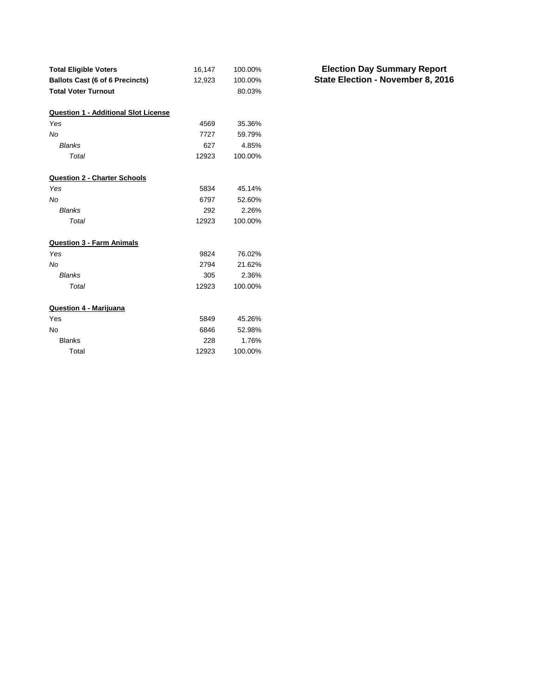| <b>Total Eligible Voters</b>                | 16,147 | 100.00% |
|---------------------------------------------|--------|---------|
| <b>Ballots Cast (6 of 6 Precincts)</b>      | 12,923 | 100.00% |
| <b>Total Voter Turnout</b>                  |        | 80.03%  |
| <b>Question 1 - Additional Slot License</b> |        |         |
| Yes                                         | 4569   | 35.36%  |
| No                                          | 7727   | 59.79%  |
| <b>Blanks</b>                               | 627    | 4.85%   |
| Total                                       | 12923  | 100.00% |
| <b>Question 2 - Charter Schools</b>         |        |         |
| Yes                                         | 5834   | 45.14%  |
| No                                          | 6797   | 52.60%  |
| <b>Blanks</b>                               | 292    | 2.26%   |
| Total                                       | 12923  | 100.00% |
| <b>Question 3 - Farm Animals</b>            |        |         |
| Yes                                         | 9824   | 76.02%  |
| No                                          | 2794   | 21.62%  |
| <b>Blanks</b>                               | 305    | 2.36%   |
| Total                                       | 12923  | 100.00% |
| Question 4 - Marijuana                      |        |         |
| Yes                                         | 5849   | 45.26%  |
| No                                          | 6846   | 52.98%  |
| <b>Blanks</b>                               | 228    | 1.76%   |
| Total                                       | 12923  | 100.00% |

**State Election - November 8, 2016 Election Day Summary Report**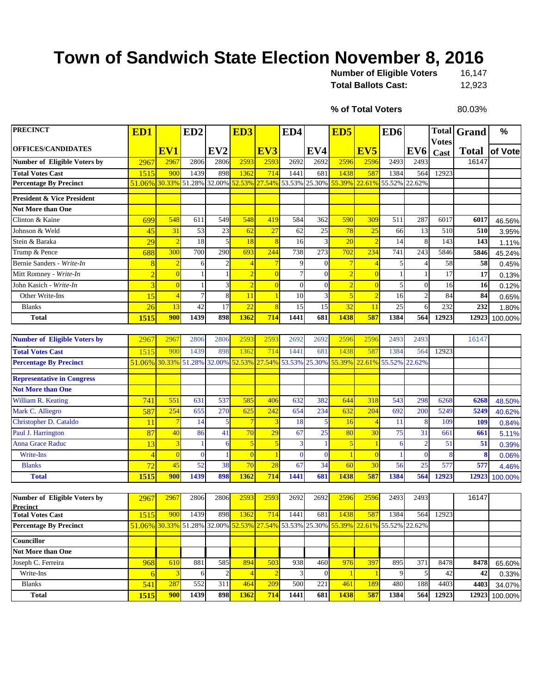## **Town of Sandwich State Election November 8, 2016**

| <b>Number of Eligible Voters</b> | 16.147 |
|----------------------------------|--------|
| <b>Total Ballots Cast:</b>       | 12.923 |

**% of Total Voters**

80.03%

| <b>PRECINCT</b>                                 | ED1                                                                                 |                | ED <sub>2</sub> |                 | ED <sub>3</sub> |               | ED4      |                | ED <sub>5</sub> |                 | ED <sub>6</sub> |                 |                      | <b>Total Grand</b> | %       |
|-------------------------------------------------|-------------------------------------------------------------------------------------|----------------|-----------------|-----------------|-----------------|---------------|----------|----------------|-----------------|-----------------|-----------------|-----------------|----------------------|--------------------|---------|
| <b>OFFICES/CANDIDATES</b>                       |                                                                                     | EV1            |                 | EV <sub>2</sub> |                 | EV3           |          | EV4            |                 | EV <sub>5</sub> |                 | EV <sub>6</sub> | <b>Votes</b><br>Cast | <b>Total</b>       | of Vote |
| <b>Number of Eligible Voters by</b>             | 2967                                                                                | 2967           | 2806            | 2806            | 2593            | 2593          | 2692     | 2692           | 2596            | 2596            | 2493            | 2493            |                      | 16147              |         |
| <b>Total Votes Cast</b>                         | 1515                                                                                | 900            | 1439            | 898             | 1362            | 714           | 1441     | 681            | 1438            | 587             | 1384            | 564             | 12923                |                    |         |
| <b>Percentage By Precinct</b>                   | 51.06% 30.33% 51.28% 32.00%                                                         |                |                 |                 |                 | 52.53% 27.54% | 53.53%   | 25.30%         | 55.39%          | 22.61%          | 55.52% 22.62%   |                 |                      |                    |         |
| <b>President &amp; Vice President</b>           |                                                                                     |                |                 |                 |                 |               |          |                |                 |                 |                 |                 |                      |                    |         |
| <b>Not More than One</b>                        |                                                                                     |                |                 |                 |                 |               |          |                |                 |                 |                 |                 |                      |                    |         |
| Clinton & Kaine                                 | 699                                                                                 | 548            | 611             | 549             | 548             | 419           | 584      | 362            | 590             | 309             | 511             | 287             | 6017                 | 6017               | 46.56%  |
| Johnson & Weld                                  | 45                                                                                  | 31             | 53              | 23              | 62              | 27            | 62       | $25\,$         | 78              | 25              | 66              | 13              | 510                  | 510                | 3.95%   |
| Stein & Baraka                                  | 29                                                                                  | $\overline{2}$ | 18              | 5               | 18              | 8             | 16       | 3              | 20              |                 | 14              | 8               | 143                  | 143                | 1.11%   |
| Trump & Pence                                   | 688                                                                                 | 300            | 700             | 290             | 693             | 244           | 738      | 273            | 702             | 234             | 741             | 243             | 5846                 | 5846               | 45.24%  |
| Bernie Sanders - Write-In                       | 8                                                                                   | $\overline{2}$ | 6               |                 | $\overline{4}$  |               | 9        | $\theta$       |                 |                 | 5               |                 | 58                   | 58                 | 0.45%   |
| Mitt Romney - Write-In                          | $\overline{2}$                                                                      | $\overline{0}$ |                 |                 |                 |               |          | $\overline{0}$ |                 |                 |                 |                 | 17                   | 17                 | 0.13%   |
| John Kasich - Write-In                          | $\overline{3}$                                                                      | $\overline{0}$ |                 |                 |                 |               | $\Omega$ | $\overline{0}$ |                 |                 | 5               | $\overline{0}$  | 16                   | 16                 | 0.12%   |
| Other Write-Ins                                 | 15                                                                                  | $\overline{4}$ | 7               | 8               | 11              |               | 10       | $\overline{3}$ |                 |                 | 16              | $\overline{2}$  | 84                   | 84                 | 0.65%   |
| <b>Blanks</b>                                   | $\overline{26}$                                                                     | 13             | 42              | 17              | $\overline{22}$ | 8             | 15       | 15             | 32              | 11              | 25              | 6               | 232                  | 232                | 1.80%   |
| <b>Total</b>                                    | 1515                                                                                | 900            | 1439            | 898             | 1362            | 714           | 1441     | 681            | 1438            | 587             | 1384            | 564             | 12923                | 12923              | 100.00% |
|                                                 |                                                                                     |                |                 |                 |                 |               |          |                |                 |                 |                 |                 |                      |                    |         |
| <b>Number of Eligible Voters by</b>             | 2967                                                                                | 2967           | 2806            | 2806            | 2593            | 2593          | 2692     | 2692           | 2596            | 2596            | 2493            | 2493            |                      | 16147              |         |
| <b>Total Votes Cast</b>                         | 1515                                                                                | 900            | 1439            | 898             | 1362            | 714           | 1441     | 681            | 1438            | 587             | 1384            | 564             | 12923                |                    |         |
| <b>Percentage By Precinct</b>                   | 51.06% 30.33% 51.28%                                                                |                |                 | 32.00%          |                 | 52.53% 27.54% | 53.53%   | 25.30%         | 55.39%          | 22.61%          | 55.52%          | 22.62%          |                      |                    |         |
| <b>Representative in Congress</b>               |                                                                                     |                |                 |                 |                 |               |          |                |                 |                 |                 |                 |                      |                    |         |
| <b>Not More than One</b>                        |                                                                                     |                |                 |                 |                 |               |          |                |                 |                 |                 |                 |                      |                    |         |
| William R. Keating                              | 741                                                                                 | 551            | 631             | 537             | 585             | 406           | 632      | 382            | 644             | 318             | 543             | 298             | 6268                 | 6268               | 48.50%  |
| Mark C. Alliegro                                | 587                                                                                 | 254            | 655             | 270             | 625             | 242           | 654      | 234            | 632             | 204             | 692             | 200             | 5249                 | 5249               | 40.62%  |
| Christopher D. Cataldo                          | 11                                                                                  | $\overline{7}$ | 14              |                 |                 |               | 18       | 5              | 16              |                 | 11              | 8               | 109                  | 109                | 0.84%   |
| Paul J. Harrington                              | 87                                                                                  | 40             | 86              | 41              | 70              | 29            | 67       | 25             | 80              | 30              | 75              | 31              | 661                  | 661                | 5.11%   |
| <b>Anna Grace Raduc</b>                         | 13                                                                                  | 3              |                 |                 | $\overline{5}$  | 5             | 3        | $\mathbf{1}$   | 5               |                 | 6               | $\overline{2}$  | 51                   | 51                 | 0.39%   |
| Write-Ins                                       | $\overline{4}$                                                                      | $\overline{0}$ | $\overline{0}$  |                 | $\overline{0}$  |               | $\Omega$ | $\Omega$       |                 | $\sqrt{ }$      |                 | $\overline{0}$  | 8                    | 8                  | 0.06%   |
| <b>Blanks</b>                                   | $\overline{72}$                                                                     | 45             | 52              | 38              | 70              | 28            | 67       | 34             | 60              | 3 <sub>0</sub>  | 56              | 25              | 577                  | 577                | 4.46%   |
| <b>Total</b>                                    | 1515                                                                                | 900            | 1439            | 898             | 1362            | 714           | 1441     | 681            | 1438            | 587             | 1384            | 564             | 12923                | 12923              | 100.00% |
|                                                 |                                                                                     |                |                 |                 |                 |               |          |                |                 |                 |                 |                 |                      |                    |         |
| Number of Eligible Voters by<br><b>Precinct</b> | 2967                                                                                | 2967           | 2806            | 2806            | 2593            | 2593          | 2692     | 2692           | 2596            | 2596            | 2493            | 2493            |                      | 16147              |         |
| <b>Total Votes Cast</b>                         | 1515                                                                                | $-900$         | 1439            | 898             | 1362            | 714           | 1441     | 681            | 1438            | 587             | 1384            | 564             | 12923                |                    |         |
| <b>Percentage By Precinct</b>                   | 51.06% 30.33% 51.28% 32.00% 52.53% 27.54% 53.53% 25.30% 55.39% 22.61% 55.52% 22.62% |                |                 |                 |                 |               |          |                |                 |                 |                 |                 |                      |                    |         |
| Councillor                                      |                                                                                     |                |                 |                 |                 |               |          |                |                 |                 |                 |                 |                      |                    |         |
| Not More than One                               |                                                                                     |                |                 |                 |                 |               |          |                |                 |                 |                 |                 |                      |                    |         |
| Joseph C. Ferreira                              | 968                                                                                 | 610            | 881             | 585             | 894             | 503           | 938      | 460            | 976             | 397             | 895             | 371             | 8478                 | 8478               | 65.60%  |
| Write-Ins                                       | 6                                                                                   | 3              | 6               | $\overline{c}$  | $\overline{4}$  |               |          | $\mathbf{0}$   |                 |                 | 9               | $\mathbf{5}$    | 42                   | 42                 | 0.33%   |
| <b>Blanks</b>                                   | 541                                                                                 | 287            | 552             | 311             | 464             | 209           | 500      | 221            | 461             | 189             | 480             | 188             | 4403                 | 4403               | 34.07%  |
| <b>Total</b>                                    | <b>1515</b>                                                                         | 900            | 1439            | 898             | 1362            | 714           | 1441     | 681            | 1438            | 587             | 1384            | 564             | 12923                | 12923              | 100.00% |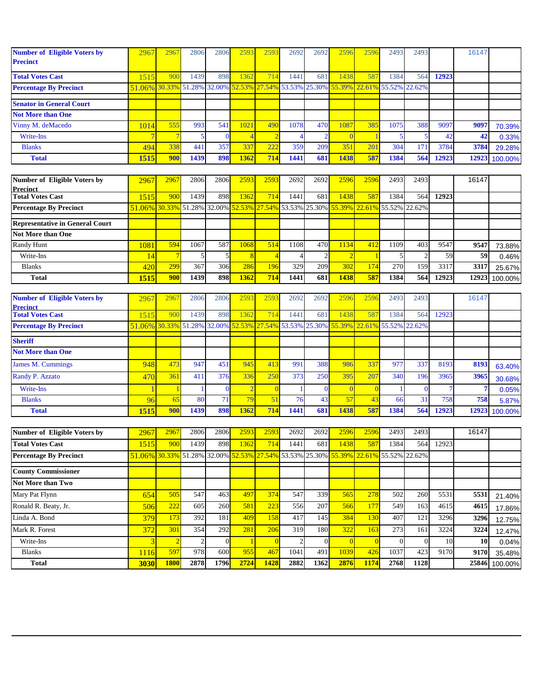| <b>Number of Eligible Voters by</b><br><b>Precinct</b> | 2967   | 2967             | 2806                        | 2806           | 2593        | 259              | 2692                 | 2692             | 2596           | 2596           | 2493          | 2493           |       | 16147 |         |
|--------------------------------------------------------|--------|------------------|-----------------------------|----------------|-------------|------------------|----------------------|------------------|----------------|----------------|---------------|----------------|-------|-------|---------|
| <b>Total Votes Cast</b>                                | 1515   | 900              | 1439                        | 898            | 1362        | 714              | 1441                 | 681              | 1438           | 587            | 1384          | 564            | 12923 |       |         |
| <b>Percentage By Precinct</b>                          | 51.06% | 30.33%           | 51.28% 32.00% 52.53%        |                |             | 27.54%           | 53.53%               | 25.30%           | 55.39%         | 22.61% 55.52%  |               | 22.62%         |       |       |         |
| <b>Senator in General Court</b>                        |        |                  |                             |                |             |                  |                      |                  |                |                |               |                |       |       |         |
| <b>Not More than One</b>                               |        |                  |                             |                |             |                  |                      |                  |                |                |               |                |       |       |         |
| Vinny M. deMacedo                                      | 1014   | 555              | 993                         | 541            | 1021        | 490              | 1078                 | 470              | 1087           | 385            | 1075          | 388            | 9097  | 9097  | 70.39%  |
| Write-Ins                                              |        | 7                | 5                           | $\mathbf{0}$   |             |                  | 4                    | $\overline{2}$   | $\Omega$       |                | 5             | 5              | 42    | 42    | 0.33%   |
| <b>Blanks</b>                                          | 494    | 338              | 441                         | 357            | 337         | 222              | 359                  | 209              | 351            | 201            | 304           | 171            | 3784  | 3784  | 29.28%  |
| <b>Total</b>                                           | 1515   | 900              | 1439                        | 898            | 1362        | 714              | 1441                 | 681              | 1438           | 587            | 1384          | 564            | 12923 | 12923 | 100.00% |
|                                                        |        |                  |                             |                |             |                  |                      |                  |                |                |               |                |       |       |         |
| Number of Eligible Voters by<br><b>Precinct</b>        | 2967   | 2967             | 2806                        | 2806           | 2593        | 2593             | 2692                 | 2692             | 2596           | 2596           | 2493          | 2493           |       | 16147 |         |
| <b>Total Votes Cast</b>                                | 1515   | 900              | 1439                        | 898            | 1362        | 714              | 1441                 | 681              | 1438           | 587            | 1384          | 564            | 12923 |       |         |
| <b>Percentage By Precinct</b>                          | 51.06% | 30.33%           | 51.28% 32.00%               |                | 52.53%      | 27.54%           | 53.53% 25.30%        |                  | 55.39%         | 22.61% 55.52%  |               | 22.62%         |       |       |         |
| <b>Representative in General Court</b>                 |        |                  |                             |                |             |                  |                      |                  |                |                |               |                |       |       |         |
| <b>Not More than One</b>                               |        |                  |                             |                |             |                  |                      |                  |                |                |               |                |       |       |         |
| Randy Hunt                                             | 1081   | 594              | 1067                        | 587            | 1068        | 514              | 1108                 | 470              | 1134           | 412            | 1109          | 403            | 9547  | 9547  | 73.88%  |
| Write-Ins                                              | 14     | -7               | 5                           | 5              |             |                  | $\overline{4}$       | $\overline{2}$   |                |                | 5             | $\overline{2}$ | 59    | 59    | 0.46%   |
| <b>Blanks</b>                                          | 420    | 299              | 367                         | 306            | 286         | 196              | 329                  | 209              | 302            | 174            | 270           | 159            | 3317  | 3317  | 25.67%  |
| <b>Total</b>                                           | 1515   | 900              | 1439                        | 898            | <b>1362</b> | 714              | 1441                 | 681              | 1438           | 587            | 1384          | 564            | 12923 | 12923 | 100.00% |
|                                                        |        |                  |                             |                |             |                  |                      |                  |                |                |               |                |       |       |         |
| <b>Number of Eligible Voters by</b><br><b>Precinct</b> | 2967   | 2967             | 2806                        | 2806           | 2593        | 2593             | 2692                 | 2692             | 2596           | 2596           | 2493          | 2493           |       | 16147 |         |
| <b>Total Votes Cast</b>                                | 1515   | 900              | 1439                        | 898            | 1362        | 714              | 1441                 | 681              | 1438           | 587            | 1384          | 564            | 12923 |       |         |
| <b>Percentage By Precinct</b>                          | 51.06% | 30.33%           | 51.28% 32.00%               |                | 52.53%      | 27.54%           | 53.53% 25.30%        |                  | 55.39%         | 22.61% 55.52%  |               | 22.62%         |       |       |         |
| <b>Sheriff</b>                                         |        |                  |                             |                |             |                  |                      |                  |                |                |               |                |       |       |         |
| <b>Not More than One</b>                               |        |                  |                             |                |             |                  |                      |                  |                |                |               |                |       |       |         |
| <b>James M. Cummings</b>                               | 948    | 473              | 947                         | 451            | 945         | 413              | 991                  | 388              | 986            | 337            | 977           | 337            | 8193  | 8193  | 63.40%  |
| Randy P. Azzato                                        | 470    | 361              | 411                         | 376            | 336         | 250              | 373                  | 250              | 395            | 207            | 340           | 196            | 3965  | 3965  | 30.68%  |
| Write-Ins                                              |        |                  |                             | $\overline{0}$ |             | $\overline{0}$   | -1                   | $\mathbf{0}$     | $\Omega$       | $\overline{0}$ |               | $\bf{0}$       | 7     | 7     | 0.05%   |
| <b>Blanks</b>                                          | 96     | 65               | 80                          | 71             | 79          | 51               | 76                   | 43               | 57             | 43             | 66            | 31             | 758   | 758   | 5.87%   |
| <b>Total</b>                                           | 1515   | 900              | 1439                        | 898            | 1362        | 714              | 1441                 | 681              | 1438           | 587            | 1384          | 564            | 12923 | 12923 | 100.00% |
|                                                        |        |                  |                             |                |             |                  |                      |                  |                |                |               |                |       |       |         |
| Number of Eligible Voters by                           | 2967   | 2967             | 2806                        | 2806           | 2593        | 2593             | 2692                 | 2692             | 2596           | 2596           | 2493          | 2493           |       | 16147 |         |
| <b>Total Votes Cast</b>                                | 1515   | 900              | 1439                        | 898            | 1362        | 714              | 1441                 | 681              | 1438           | 587            | 1384          | 564            | 12923 |       |         |
| <b>Percentage By Precinct</b>                          |        |                  | 51.06% 30.33% 51.28% 32.00% |                | 52.53%      |                  | 27.54% 53.53% 25.30% |                  | 55.39%         |                | 22.61% 55.52% | 22.62%         |       |       |         |
| <b>County Commissioner</b>                             |        |                  |                             |                |             |                  |                      |                  |                |                |               |                |       |       |         |
| Not More than Two                                      |        |                  |                             |                |             |                  |                      |                  |                |                |               |                |       |       |         |
| Mary Pat Flynn                                         | 654    | 505              | 547                         | 463            | 497         | 374              | 547                  | 339              | 565            | 278            | 502           | 260            | 5531  | 5531  | 21.40%  |
| Ronald R. Beaty, Jr.                                   | 506    | $\overline{222}$ | 605                         | 260            | 581         | $\overline{223}$ | 556                  | 207              | 566            | 177            | 549           | 163            | 4615  | 4615  | 17.86%  |
| Linda A. Bond                                          | 379    | 173              | 392                         | 181            | 409         | 158              | 417                  | 145              | 384            | 130            | 407           | 121            | 3296  | 3296  | 12.75%  |
| Mark R. Forest                                         | 372    | 301              | 354                         | 292            | 281         | 206              | 319                  | 180              | 322            | 163            | 273           | 161            | 3224  | 3224  | 12.47%  |
| Write-Ins                                              | 3      | $\overline{2}$   | $\overline{c}$              | $\mathbf{0}$   |             | $\Omega$         | $\overline{c}$       | $\boldsymbol{0}$ | $\overline{0}$ | $\overline{0}$ | $\mathbf{0}$  | $\mathbf{0}$   | 10    | 10    | 0.04%   |
| <b>Blanks</b>                                          | 1116   | 597              | 978                         | 600            | 955         | 467              | 1041                 | 491              | 1039           | 426            | 1037          | 423            | 9170  | 9170  | 35.48%  |
| <b>Total</b>                                           | 3030   | <b>1800</b>      | 2878                        | 1796           | 2724        | 1428             | 2882                 | 1362             | 2876           | 1174           | 2768          | 1128           |       | 25846 | 100.00% |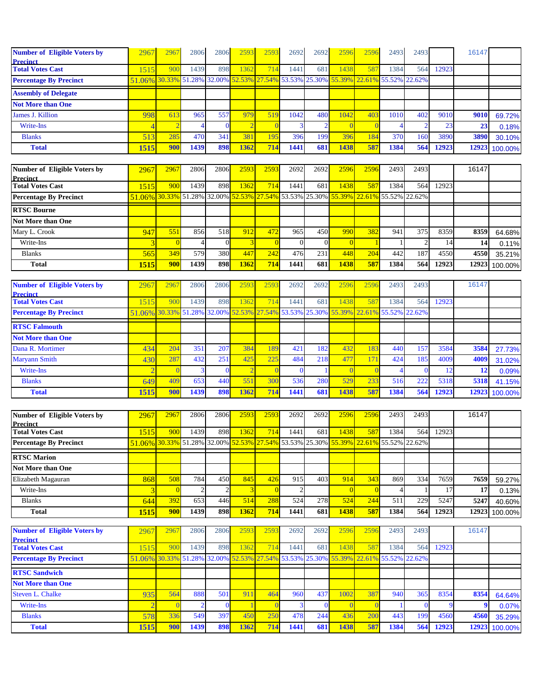| <b>Number of Eligible Voters by</b> | 2967                                                                                | 2967 | 2806 | <b>2806</b> | 2593 | 2593 | 2692 | 2692             | 2596 | 2596 | 2493 | 2493 |       | 16147 |               |
|-------------------------------------|-------------------------------------------------------------------------------------|------|------|-------------|------|------|------|------------------|------|------|------|------|-------|-------|---------------|
| <b>Precinct</b>                     |                                                                                     |      |      |             |      |      |      |                  |      |      |      |      |       |       |               |
| <b>Total Votes Cast</b>             | 515                                                                                 | 900  | 1439 | 898         | 1362 | 714  | 1441 | 681              | 1438 | 587  | 1384 | 564  | 12923 |       |               |
| <b>Percentage By Precinct</b>       | 51.06% 30.33% 51.28% 32.00% 52.53% 27.54% 53.53% 25.30% 55.39% 22.61% 55.52% 22.62% |      |      |             |      |      |      |                  |      |      |      |      |       |       |               |
| <b>Assembly of Delegate</b>         |                                                                                     |      |      |             |      |      |      |                  |      |      |      |      |       |       |               |
| <b>Not More than One</b>            |                                                                                     |      |      |             |      |      |      |                  |      |      |      |      |       |       |               |
| James J. Killion                    | 998                                                                                 | 613  | 965  | 557         | 979  | 519  | 1042 | 480              | 1042 | 403  | 1010 | 402  | 9010  | 9010  | 69.72%        |
| Write-Ins                           |                                                                                     |      |      |             |      |      |      |                  |      |      |      |      | 23    | 23    | 0.18%         |
| <b>Blanks</b>                       | 513 <sup> </sup>                                                                    | 285  | 470  | 341         | 381  | 195  | 396  | 199 <sup> </sup> | 396  | 184  | 370  | 160  | 3890  | 3890  | 30.10%        |
| <b>Total</b>                        | 1515                                                                                | 900  | 1439 | 898         | 1362 | 714  | 1441 | 681              | 1438 | 587  | 1384 | 564  | 12923 |       | 12923 100.00% |

| Number of Eligible Voters by  | 2967                                                                                | 2967       | 2806 | 2806 | 2593 | 2593 | 2692  | 2692             | 2596 | 2596 | 2493 | 2493 |       | 16147 |               |
|-------------------------------|-------------------------------------------------------------------------------------|------------|------|------|------|------|-------|------------------|------|------|------|------|-------|-------|---------------|
| Precinct                      |                                                                                     |            |      |      |      |      |       |                  |      |      |      |      |       |       |               |
| <b>Total Votes Cast</b>       | 1515                                                                                | 900        | 1439 | 898  | 1362 | 714  | 14411 | 681              | 1438 | 587  | 1384 | 564  | 12923 |       |               |
| <b>Percentage By Precinct</b> | 51.06% 30.33% 51.28% 32.00% 52.53% 27.54% 53.53% 25.30% 55.39% 22.61% 55.52% 22.62% |            |      |      |      |      |       |                  |      |      |      |      |       |       |               |
| <b>RTSC Bourne</b>            |                                                                                     |            |      |      |      |      |       |                  |      |      |      |      |       |       |               |
| <b>Not More than One</b>      |                                                                                     |            |      |      |      |      |       |                  |      |      |      |      |       |       |               |
| Mary L. Crook                 | 947                                                                                 | 551        | 856  | 518  | 912. | 472  | 965   | 450 <sup> </sup> | 990  | 382  | 941  | 375  | 8359  | 8359  | 64.68%        |
| Write-Ins                     |                                                                                     |            |      |      |      |      |       |                  |      |      |      |      | 14    | 14    | 0.11%         |
| <b>Blanks</b>                 | 565                                                                                 | 349        | 579  | 380  | 447  | 242  | 476   | 231h             | 448  | 204  | 442  | 187  | 4550  | 4550  | 35.21%        |
| <b>Total</b>                  | 1515                                                                                | <b>900</b> | 1439 | 898  | 1362 | 714  | 1441  | 681              | 1438 | 587  | 1384 | 564  | 12923 |       | 12923 100.00% |

| <b>Number of Eligible Voters by</b> | 2967                                                                                | 296 | 2806 | 2806 | 2593 | 259 | 2692 | 2692 | 259  | 2596 | 2493 | 2493 |       | 16147 |               |
|-------------------------------------|-------------------------------------------------------------------------------------|-----|------|------|------|-----|------|------|------|------|------|------|-------|-------|---------------|
| <b>Precinct</b>                     |                                                                                     |     |      |      |      |     |      |      |      |      |      |      |       |       |               |
| <b>Total Votes Cast</b>             | 515                                                                                 | 900 | 1439 | 898  | 1362 | 714 | 1441 | 681  | 1438 | 587  | 1384 | 564  | 12923 |       |               |
| <b>Percentage By Precinct</b>       | 51.06% 30.33% 51.28% 32.00% 52.53% 27.54% 53.53% 25.30% 55.39% 22.61% 55.52% 22.62% |     |      |      |      |     |      |      |      |      |      |      |       |       |               |
| <b>RTSC Falmouth</b>                |                                                                                     |     |      |      |      |     |      |      |      |      |      |      |       |       |               |
| <b>Not More than One</b>            |                                                                                     |     |      |      |      |     |      |      |      |      |      |      |       |       |               |
| Dana R. Mortimer                    | 434                                                                                 | 204 | 351  | 207  | 384  | 189 | 421  | 182  | 432  | 183  | 440  | 157  | 3584  | 3584  | 27.73%        |
| <b>Maryann Smith</b>                | 430                                                                                 | 287 | 432  | 251  | 425  | 225 | 484  | 218  | 477  |      | 424  | 185  | 4009  | 4009  | 31.02%        |
| Write-Ins                           |                                                                                     |     |      |      |      |     |      |      |      |      |      |      |       |       | 0.09%         |
| <b>Blanks</b>                       | 649                                                                                 | 409 | 653  | 440  | 55   | 300 | 536  | 2801 | 529  | 233  | 516  | 222  | 5318  | 5318  | 41.15%        |
| <b>Total</b>                        | 1515                                                                                | 900 | 1439 | 898  | 1362 | 714 | 1441 | 681  | 1438 | 587  | 1384 | 564  | 12923 |       | 12923 100.00% |

| Number of Eligible Voters by  | 2967                                                                                | 2967       | 2806 | 2806 | 2593 | 2593 | 2692         | 2692 | 2596 | 2596 | 2493 | 2493 |       | 16147 |               |
|-------------------------------|-------------------------------------------------------------------------------------|------------|------|------|------|------|--------------|------|------|------|------|------|-------|-------|---------------|
| <b>Precinct</b>               |                                                                                     |            |      |      |      |      |              |      |      |      |      |      |       |       |               |
| <b>Total Votes Cast</b>       | 1515                                                                                | 900        | 1439 | 898  | 1362 | 714  | 14411        | 681  | 1438 | 587  | 1384 | 564  | 12923 |       |               |
| <b>Percentage By Precinct</b> | 51.06% 30.33% 51.28% 32.00% 52.53% 27.54% 53.53% 25.30% 55.39% 22.61% 55.52% 22.62% |            |      |      |      |      |              |      |      |      |      |      |       |       |               |
| <b>RTSC Marion</b>            |                                                                                     |            |      |      |      |      |              |      |      |      |      |      |       |       |               |
|                               |                                                                                     |            |      |      |      |      |              |      |      |      |      |      |       |       |               |
| <b>Not More than One</b>      |                                                                                     |            |      |      |      |      |              |      |      |      |      |      |       |       |               |
| Elizabeth Magauran            | 868                                                                                 | 508        | 784  | 450  | 845  | 426  | 915 <b>I</b> | 403  | 914  | 343  | 869  | 334  | 7659  | 7659  | 59.27%        |
| Write-Ins                     |                                                                                     |            |      |      |      |      |              |      |      |      |      |      |       |       | 0.13%         |
| <b>Blanks</b>                 | 644                                                                                 | 392        | 653  | 446  | 514  | 288  | 524          | 278  | 524  | 244  | 511  | 229  | 5247  | 5247  | 40.60%        |
| <b>Total</b>                  | 1515                                                                                | <b>900</b> | 1439 | 898  | 1362 | 714  | 1441         | 681  | 1438 | 587  | 1384 | 564  | 12923 |       | 12923 100.00% |

| <b>Number of Eligible Voters by</b> | 2967                                                                                | 2967 | 2806 | 2806             | 259  | 2593 | 2692 | 2692 | 2596 | 2596 | 2493 | 2493 |       | 16147 |               |
|-------------------------------------|-------------------------------------------------------------------------------------|------|------|------------------|------|------|------|------|------|------|------|------|-------|-------|---------------|
| <b>Precinct</b>                     |                                                                                     |      |      |                  |      |      |      |      |      |      |      |      |       |       |               |
| <b>Total Votes Cast</b>             | 1515                                                                                | 900  | 1439 | 898 <sup> </sup> | 1362 | 714  | 1441 | 681  | 1438 | 587  | 1384 | 564  | 12923 |       |               |
| <b>Percentage By Precinct</b>       | 51.06% 30.33% 51.28% 32.00% 52.53% 27.54% 53.53% 25.30% 55.39% 22.61% 55.52% 22.62% |      |      |                  |      |      |      |      |      |      |      |      |       |       |               |
| <b>RTSC Sandwich</b>                |                                                                                     |      |      |                  |      |      |      |      |      |      |      |      |       |       |               |
| <b>Not More than One</b>            |                                                                                     |      |      |                  |      |      |      |      |      |      |      |      |       |       |               |
| <b>Steven L. Chalke</b>             | 935                                                                                 | 564  | 888  | 501.             | 911  | 464  | 960  | 437  | 1002 | 387  | 940  | 365  | 8354  | 8354  | 64.64%        |
| Write-Ins                           |                                                                                     |      |      |                  |      |      |      |      |      |      |      |      |       |       | 0.07%         |
| <b>Blanks</b>                       | 578                                                                                 | 336  | 549  | 397              | 45   | 250  | 478  | 244  | 436  | 200  | 443  | 199  | 4560  | 4560  | 35.29%        |
| <b>Total</b>                        | 1515                                                                                | 900  | 1439 | 898              | 1362 | 714  | 1441 | 681  | 1438 | 587  | 1384 | 564  | 12923 |       | 12923 100.00% |